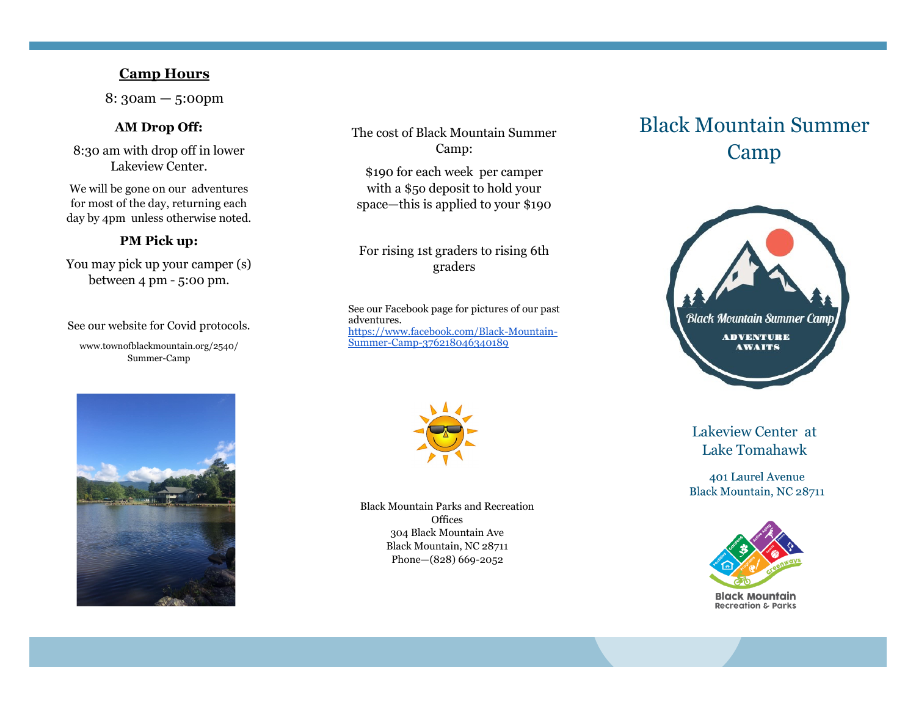### **Camp Hours**

8: 30am — 5:00pm

#### **AM Drop Off:**

8:30 am with drop off in lower Lakeview Center.

We will be gone on our adventures for most of the day, returning each day by 4pm unless otherwise noted.

### **PM Pick up:**

You may pick up your camper (s) between 4 pm - 5:00 pm.

See our website for Covid protocols. www.townofblackmountain.org/2540/ Summer-Camp

The cost of Black Mountain Summer Camp:

\$190 for each week per camper with a \$5o deposit to hold your space—this is applied to your \$190

### For rising 1st graders to rising 6th graders

See our Facebook page for pictures of our past adventures. [https://www.facebook.com/Black](https://www.facebook.com/Black-Mountain-Summer-Camp-376218046340189)-Mountain-Summer-Camp-[376218046340189](https://www.facebook.com/Black-Mountain-Summer-Camp-376218046340189)



Black Mountain Parks and Recreation **Offices** 304 Black Mountain Ave Black Mountain, NC 28711 Phone—(828) 669-2052

# Black Mountain Summer Camp



### Lakeview Center at Lake Tomahawk

401 Laurel Avenue Black Mountain, NC 28711



**Black Mountain Recreation & Parks**